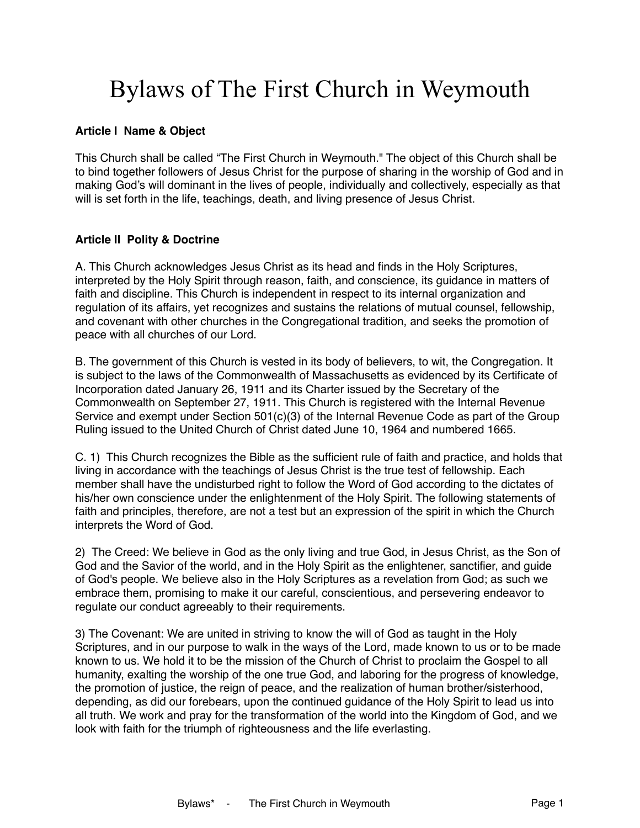# Bylaws of The First Church in Weymouth

## **Article I Name & Object**

This Church shall be called "The First Church in Weymouth." The object of this Church shall be to bind together followers of Jesus Christ for the purpose of sharing in the worship of God and in making God's will dominant in the lives of people, individually and collectively, especially as that will is set forth in the life, teachings, death, and living presence of Jesus Christ.

# **Article II Polity & Doctrine**

A. This Church acknowledges Jesus Christ as its head and finds in the Holy Scriptures, interpreted by the Holy Spirit through reason, faith, and conscience, its guidance in matters of faith and discipline. This Church is independent in respect to its internal organization and regulation of its affairs, yet recognizes and sustains the relations of mutual counsel, fellowship, and covenant with other churches in the Congregational tradition, and seeks the promotion of peace with all churches of our Lord.

B. The government of this Church is vested in its body of believers, to wit, the Congregation. It is subject to the laws of the Commonwealth of Massachusetts as evidenced by its Certificate of Incorporation dated January 26, 1911 and its Charter issued by the Secretary of the Commonwealth on September 27, 1911. This Church is registered with the Internal Revenue Service and exempt under Section 501(c)(3) of the Internal Revenue Code as part of the Group Ruling issued to the United Church of Christ dated June 10, 1964 and numbered 1665.

C. 1) This Church recognizes the Bible as the sufficient rule of faith and practice, and holds that living in accordance with the teachings of Jesus Christ is the true test of fellowship. Each member shall have the undisturbed right to follow the Word of God according to the dictates of his/her own conscience under the enlightenment of the Holy Spirit. The following statements of faith and principles, therefore, are not a test but an expression of the spirit in which the Church interprets the Word of God.

2) The Creed: We believe in God as the only living and true God, in Jesus Christ, as the Son of God and the Savior of the world, and in the Holy Spirit as the enlightener, sanctifier, and guide of God's people. We believe also in the Holy Scriptures as a revelation from God; as such we embrace them, promising to make it our careful, conscientious, and persevering endeavor to regulate our conduct agreeably to their requirements.

3) The Covenant: We are united in striving to know the will of God as taught in the Holy Scriptures, and in our purpose to walk in the ways of the Lord, made known to us or to be made known to us. We hold it to be the mission of the Church of Christ to proclaim the Gospel to all humanity, exalting the worship of the one true God, and laboring for the progress of knowledge, the promotion of justice, the reign of peace, and the realization of human brother/sisterhood, depending, as did our forebears, upon the continued guidance of the Holy Spirit to lead us into all truth. We work and pray for the transformation of the world into the Kingdom of God, and we look with faith for the triumph of righteousness and the life everlasting.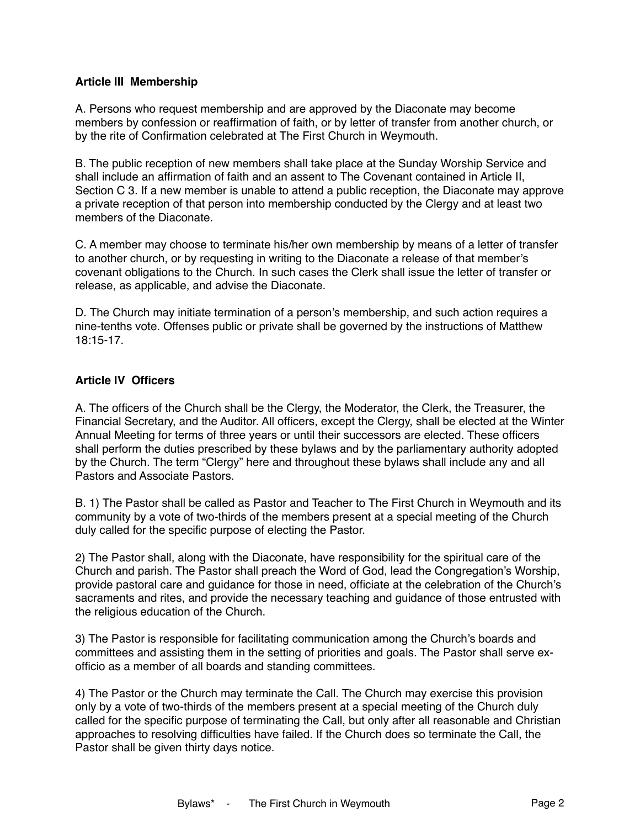# **Article III Membership**

A. Persons who request membership and are approved by the Diaconate may become members by confession or reaffirmation of faith, or by letter of transfer from another church, or by the rite of Confirmation celebrated at The First Church in Weymouth.

B. The public reception of new members shall take place at the Sunday Worship Service and shall include an affirmation of faith and an assent to The Covenant contained in Article II, Section C 3. If a new member is unable to attend a public reception, the Diaconate may approve a private reception of that person into membership conducted by the Clergy and at least two members of the Diaconate.

C. A member may choose to terminate his/her own membership by means of a letter of transfer to another church, or by requesting in writing to the Diaconate a release of that member's covenant obligations to the Church. In such cases the Clerk shall issue the letter of transfer or release, as applicable, and advise the Diaconate.

D. The Church may initiate termination of a person's membership, and such action requires a nine-tenths vote. Offenses public or private shall be governed by the instructions of Matthew 18:15-17.

# **Article IV Officers**

A. The officers of the Church shall be the Clergy, the Moderator, the Clerk, the Treasurer, the Financial Secretary, and the Auditor. All officers, except the Clergy, shall be elected at the Winter Annual Meeting for terms of three years or until their successors are elected. These officers shall perform the duties prescribed by these bylaws and by the parliamentary authority adopted by the Church. The term "Clergy" here and throughout these bylaws shall include any and all Pastors and Associate Pastors.

B. 1) The Pastor shall be called as Pastor and Teacher to The First Church in Weymouth and its community by a vote of two-thirds of the members present at a special meeting of the Church duly called for the specific purpose of electing the Pastor.

2) The Pastor shall, along with the Diaconate, have responsibility for the spiritual care of the Church and parish. The Pastor shall preach the Word of God, lead the Congregation's Worship, provide pastoral care and guidance for those in need, officiate at the celebration of the Church's sacraments and rites, and provide the necessary teaching and guidance of those entrusted with the religious education of the Church.

3) The Pastor is responsible for facilitating communication among the Church's boards and committees and assisting them in the setting of priorities and goals. The Pastor shall serve exofficio as a member of all boards and standing committees.

4) The Pastor or the Church may terminate the Call. The Church may exercise this provision only by a vote of two-thirds of the members present at a special meeting of the Church duly called for the specific purpose of terminating the Call, but only after all reasonable and Christian approaches to resolving difficulties have failed. If the Church does so terminate the Call, the Pastor shall be given thirty days notice.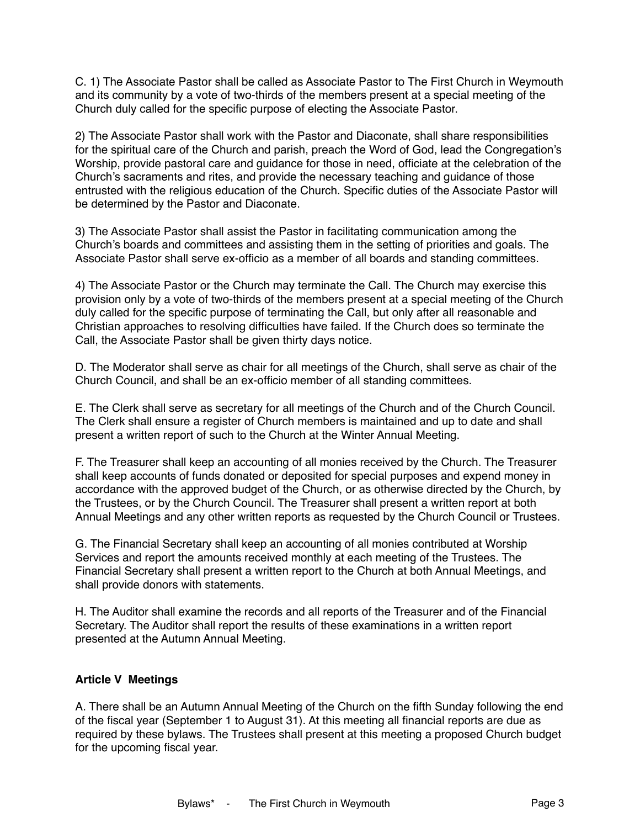C. 1) The Associate Pastor shall be called as Associate Pastor to The First Church in Weymouth and its community by a vote of two-thirds of the members present at a special meeting of the Church duly called for the specific purpose of electing the Associate Pastor.

2) The Associate Pastor shall work with the Pastor and Diaconate, shall share responsibilities for the spiritual care of the Church and parish, preach the Word of God, lead the Congregation's Worship, provide pastoral care and guidance for those in need, officiate at the celebration of the Church's sacraments and rites, and provide the necessary teaching and guidance of those entrusted with the religious education of the Church. Specific duties of the Associate Pastor will be determined by the Pastor and Diaconate.

3) The Associate Pastor shall assist the Pastor in facilitating communication among the Church's boards and committees and assisting them in the setting of priorities and goals. The Associate Pastor shall serve ex-officio as a member of all boards and standing committees.

4) The Associate Pastor or the Church may terminate the Call. The Church may exercise this provision only by a vote of two-thirds of the members present at a special meeting of the Church duly called for the specific purpose of terminating the Call, but only after all reasonable and Christian approaches to resolving difficulties have failed. If the Church does so terminate the Call, the Associate Pastor shall be given thirty days notice.

D. The Moderator shall serve as chair for all meetings of the Church, shall serve as chair of the Church Council, and shall be an ex-officio member of all standing committees.

E. The Clerk shall serve as secretary for all meetings of the Church and of the Church Council. The Clerk shall ensure a register of Church members is maintained and up to date and shall present a written report of such to the Church at the Winter Annual Meeting.

F. The Treasurer shall keep an accounting of all monies received by the Church. The Treasurer shall keep accounts of funds donated or deposited for special purposes and expend money in accordance with the approved budget of the Church, or as otherwise directed by the Church, by the Trustees, or by the Church Council. The Treasurer shall present a written report at both Annual Meetings and any other written reports as requested by the Church Council or Trustees.

G. The Financial Secretary shall keep an accounting of all monies contributed at Worship Services and report the amounts received monthly at each meeting of the Trustees. The Financial Secretary shall present a written report to the Church at both Annual Meetings, and shall provide donors with statements.

H. The Auditor shall examine the records and all reports of the Treasurer and of the Financial Secretary. The Auditor shall report the results of these examinations in a written report presented at the Autumn Annual Meeting.

## **Article V Meetings**

A. There shall be an Autumn Annual Meeting of the Church on the fifth Sunday following the end of the fiscal year (September 1 to August 31). At this meeting all financial reports are due as required by these bylaws. The Trustees shall present at this meeting a proposed Church budget for the upcoming fiscal year.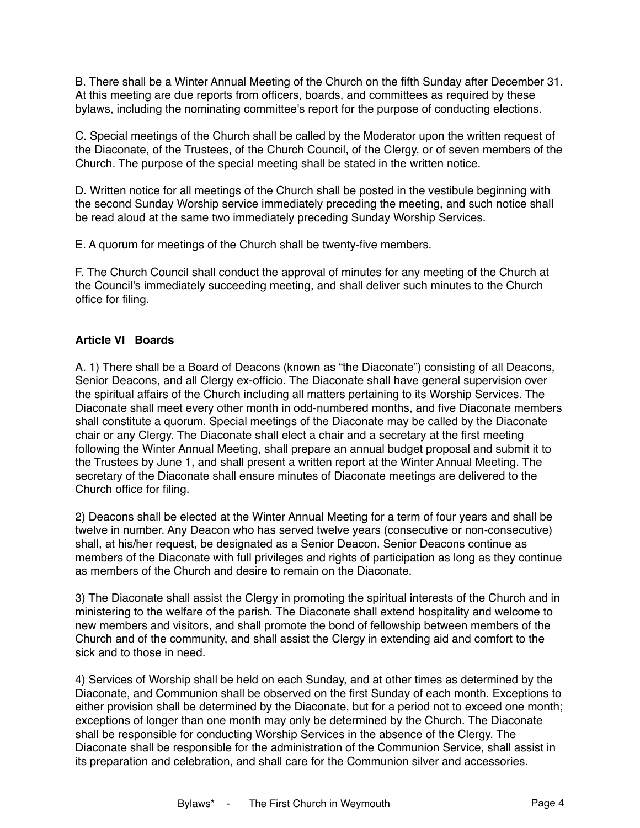B. There shall be a Winter Annual Meeting of the Church on the fifth Sunday after December 31. At this meeting are due reports from officers, boards, and committees as required by these bylaws, including the nominating committee's report for the purpose of conducting elections.

C. Special meetings of the Church shall be called by the Moderator upon the written request of the Diaconate, of the Trustees, of the Church Council, of the Clergy, or of seven members of the Church. The purpose of the special meeting shall be stated in the written notice.

D. Written notice for all meetings of the Church shall be posted in the vestibule beginning with the second Sunday Worship service immediately preceding the meeting, and such notice shall be read aloud at the same two immediately preceding Sunday Worship Services.

E. A quorum for meetings of the Church shall be twenty-five members.

F. The Church Council shall conduct the approval of minutes for any meeting of the Church at the Council's immediately succeeding meeting, and shall deliver such minutes to the Church office for filing.

# **Article VI Boards**

A. 1) There shall be a Board of Deacons (known as "the Diaconate") consisting of all Deacons, Senior Deacons, and all Clergy ex-officio. The Diaconate shall have general supervision over the spiritual affairs of the Church including all matters pertaining to its Worship Services. The Diaconate shall meet every other month in odd-numbered months, and five Diaconate members shall constitute a quorum. Special meetings of the Diaconate may be called by the Diaconate chair or any Clergy. The Diaconate shall elect a chair and a secretary at the first meeting following the Winter Annual Meeting, shall prepare an annual budget proposal and submit it to the Trustees by June 1, and shall present a written report at the Winter Annual Meeting. The secretary of the Diaconate shall ensure minutes of Diaconate meetings are delivered to the Church office for filing.

2) Deacons shall be elected at the Winter Annual Meeting for a term of four years and shall be twelve in number. Any Deacon who has served twelve years (consecutive or non-consecutive) shall, at his/her request, be designated as a Senior Deacon. Senior Deacons continue as members of the Diaconate with full privileges and rights of participation as long as they continue as members of the Church and desire to remain on the Diaconate.

3) The Diaconate shall assist the Clergy in promoting the spiritual interests of the Church and in ministering to the welfare of the parish. The Diaconate shall extend hospitality and welcome to new members and visitors, and shall promote the bond of fellowship between members of the Church and of the community, and shall assist the Clergy in extending aid and comfort to the sick and to those in need.

4) Services of Worship shall be held on each Sunday, and at other times as determined by the Diaconate, and Communion shall be observed on the first Sunday of each month. Exceptions to either provision shall be determined by the Diaconate, but for a period not to exceed one month; exceptions of longer than one month may only be determined by the Church. The Diaconate shall be responsible for conducting Worship Services in the absence of the Clergy. The Diaconate shall be responsible for the administration of the Communion Service, shall assist in its preparation and celebration, and shall care for the Communion silver and accessories.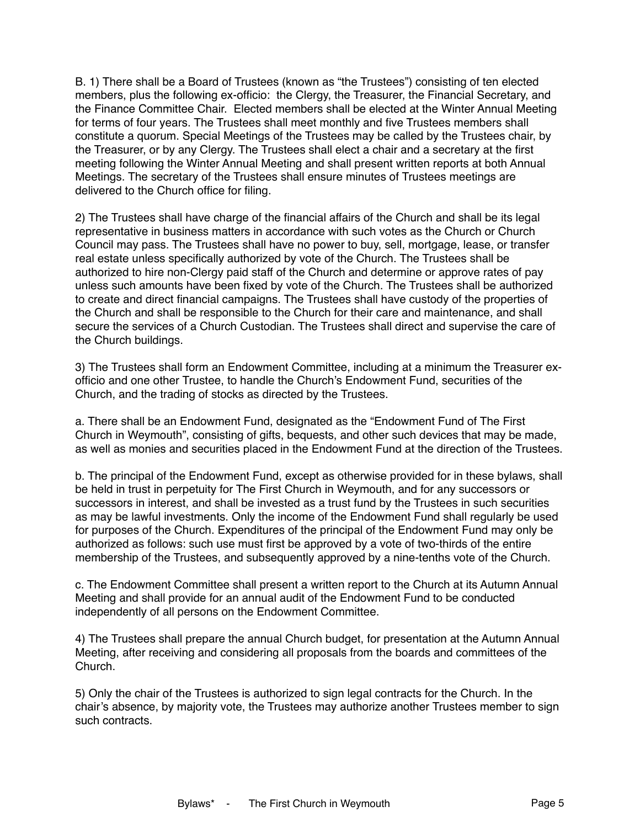B. 1) There shall be a Board of Trustees (known as "the Trustees") consisting of ten elected members, plus the following ex-officio: the Clergy, the Treasurer, the Financial Secretary, and the Finance Committee Chair. Elected members shall be elected at the Winter Annual Meeting for terms of four years. The Trustees shall meet monthly and five Trustees members shall constitute a quorum. Special Meetings of the Trustees may be called by the Trustees chair, by the Treasurer, or by any Clergy. The Trustees shall elect a chair and a secretary at the first meeting following the Winter Annual Meeting and shall present written reports at both Annual Meetings. The secretary of the Trustees shall ensure minutes of Trustees meetings are delivered to the Church office for filing.

2) The Trustees shall have charge of the financial affairs of the Church and shall be its legal representative in business matters in accordance with such votes as the Church or Church Council may pass. The Trustees shall have no power to buy, sell, mortgage, lease, or transfer real estate unless specifically authorized by vote of the Church. The Trustees shall be authorized to hire non-Clergy paid staff of the Church and determine or approve rates of pay unless such amounts have been fixed by vote of the Church. The Trustees shall be authorized to create and direct financial campaigns. The Trustees shall have custody of the properties of the Church and shall be responsible to the Church for their care and maintenance, and shall secure the services of a Church Custodian. The Trustees shall direct and supervise the care of the Church buildings.

3) The Trustees shall form an Endowment Committee, including at a minimum the Treasurer exofficio and one other Trustee, to handle the Church's Endowment Fund, securities of the Church, and the trading of stocks as directed by the Trustees.

a. There shall be an Endowment Fund, designated as the "Endowment Fund of The First Church in Weymouth", consisting of gifts, bequests, and other such devices that may be made, as well as monies and securities placed in the Endowment Fund at the direction of the Trustees.

b. The principal of the Endowment Fund, except as otherwise provided for in these bylaws, shall be held in trust in perpetuity for The First Church in Weymouth, and for any successors or successors in interest, and shall be invested as a trust fund by the Trustees in such securities as may be lawful investments. Only the income of the Endowment Fund shall regularly be used for purposes of the Church. Expenditures of the principal of the Endowment Fund may only be authorized as follows: such use must first be approved by a vote of two-thirds of the entire membership of the Trustees, and subsequently approved by a nine-tenths vote of the Church.

c. The Endowment Committee shall present a written report to the Church at its Autumn Annual Meeting and shall provide for an annual audit of the Endowment Fund to be conducted independently of all persons on the Endowment Committee.

4) The Trustees shall prepare the annual Church budget, for presentation at the Autumn Annual Meeting, after receiving and considering all proposals from the boards and committees of the Church.

5) Only the chair of the Trustees is authorized to sign legal contracts for the Church. In the chair's absence, by majority vote, the Trustees may authorize another Trustees member to sign such contracts.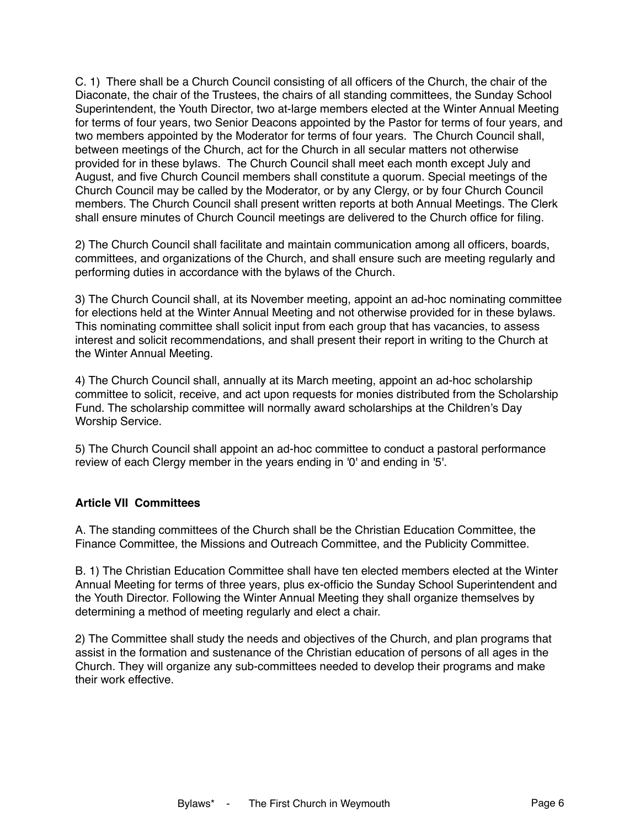C. 1) There shall be a Church Council consisting of all officers of the Church, the chair of the Diaconate, the chair of the Trustees, the chairs of all standing committees, the Sunday School Superintendent, the Youth Director, two at-large members elected at the Winter Annual Meeting for terms of four years, two Senior Deacons appointed by the Pastor for terms of four years, and two members appointed by the Moderator for terms of four years. The Church Council shall, between meetings of the Church, act for the Church in all secular matters not otherwise provided for in these bylaws. The Church Council shall meet each month except July and August, and five Church Council members shall constitute a quorum. Special meetings of the Church Council may be called by the Moderator, or by any Clergy, or by four Church Council members. The Church Council shall present written reports at both Annual Meetings. The Clerk shall ensure minutes of Church Council meetings are delivered to the Church office for filing.

2) The Church Council shall facilitate and maintain communication among all officers, boards, committees, and organizations of the Church, and shall ensure such are meeting regularly and performing duties in accordance with the bylaws of the Church.

3) The Church Council shall, at its November meeting, appoint an ad-hoc nominating committee for elections held at the Winter Annual Meeting and not otherwise provided for in these bylaws. This nominating committee shall solicit input from each group that has vacancies, to assess interest and solicit recommendations, and shall present their report in writing to the Church at the Winter Annual Meeting.

4) The Church Council shall, annually at its March meeting, appoint an ad-hoc scholarship committee to solicit, receive, and act upon requests for monies distributed from the Scholarship Fund. The scholarship committee will normally award scholarships at the Children's Day Worship Service.

5) The Church Council shall appoint an ad-hoc committee to conduct a pastoral performance review of each Clergy member in the years ending in '0' and ending in '5'.

## **Article VII Committees**

A. The standing committees of the Church shall be the Christian Education Committee, the Finance Committee, the Missions and Outreach Committee, and the Publicity Committee.

B. 1) The Christian Education Committee shall have ten elected members elected at the Winter Annual Meeting for terms of three years, plus ex-officio the Sunday School Superintendent and the Youth Director. Following the Winter Annual Meeting they shall organize themselves by determining a method of meeting regularly and elect a chair.

2) The Committee shall study the needs and objectives of the Church, and plan programs that assist in the formation and sustenance of the Christian education of persons of all ages in the Church. They will organize any sub-committees needed to develop their programs and make their work effective.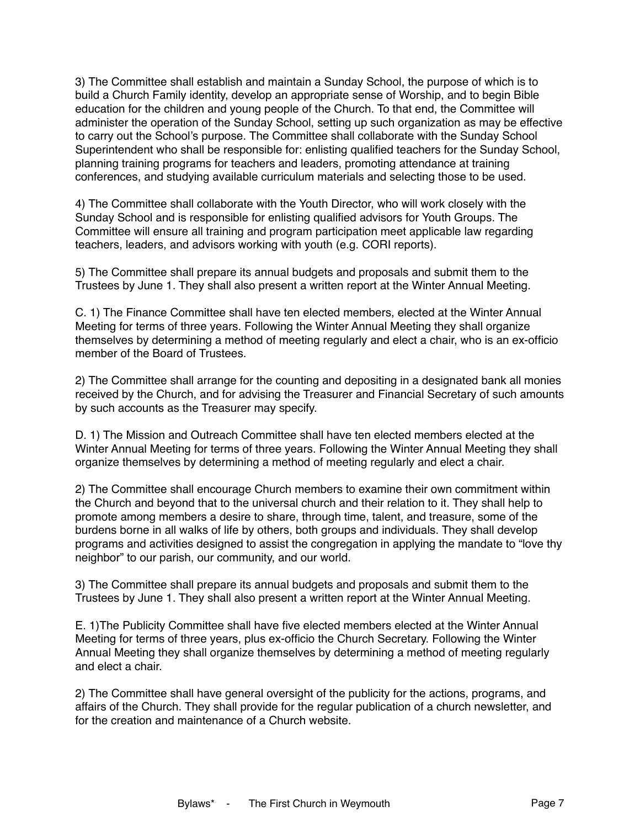3) The Committee shall establish and maintain a Sunday School, the purpose of which is to build a Church Family identity, develop an appropriate sense of Worship, and to begin Bible education for the children and young people of the Church. To that end, the Committee will administer the operation of the Sunday School, setting up such organization as may be effective to carry out the School's purpose. The Committee shall collaborate with the Sunday School Superintendent who shall be responsible for: enlisting qualified teachers for the Sunday School, planning training programs for teachers and leaders, promoting attendance at training conferences, and studying available curriculum materials and selecting those to be used.

4) The Committee shall collaborate with the Youth Director, who will work closely with the Sunday School and is responsible for enlisting qualified advisors for Youth Groups. The Committee will ensure all training and program participation meet applicable law regarding teachers, leaders, and advisors working with youth (e.g. CORI reports).

5) The Committee shall prepare its annual budgets and proposals and submit them to the Trustees by June 1. They shall also present a written report at the Winter Annual Meeting.

C. 1) The Finance Committee shall have ten elected members, elected at the Winter Annual Meeting for terms of three years. Following the Winter Annual Meeting they shall organize themselves by determining a method of meeting regularly and elect a chair, who is an ex-officio member of the Board of Trustees.

2) The Committee shall arrange for the counting and depositing in a designated bank all monies received by the Church, and for advising the Treasurer and Financial Secretary of such amounts by such accounts as the Treasurer may specify.

D. 1) The Mission and Outreach Committee shall have ten elected members elected at the Winter Annual Meeting for terms of three years. Following the Winter Annual Meeting they shall organize themselves by determining a method of meeting regularly and elect a chair.

2) The Committee shall encourage Church members to examine their own commitment within the Church and beyond that to the universal church and their relation to it. They shall help to promote among members a desire to share, through time, talent, and treasure, some of the burdens borne in all walks of life by others, both groups and individuals. They shall develop programs and activities designed to assist the congregation in applying the mandate to "love thy neighbor" to our parish, our community, and our world.

3) The Committee shall prepare its annual budgets and proposals and submit them to the Trustees by June 1. They shall also present a written report at the Winter Annual Meeting.

E. 1)The Publicity Committee shall have five elected members elected at the Winter Annual Meeting for terms of three years, plus ex-officio the Church Secretary. Following the Winter Annual Meeting they shall organize themselves by determining a method of meeting regularly and elect a chair.

2) The Committee shall have general oversight of the publicity for the actions, programs, and affairs of the Church. They shall provide for the regular publication of a church newsletter, and for the creation and maintenance of a Church website.